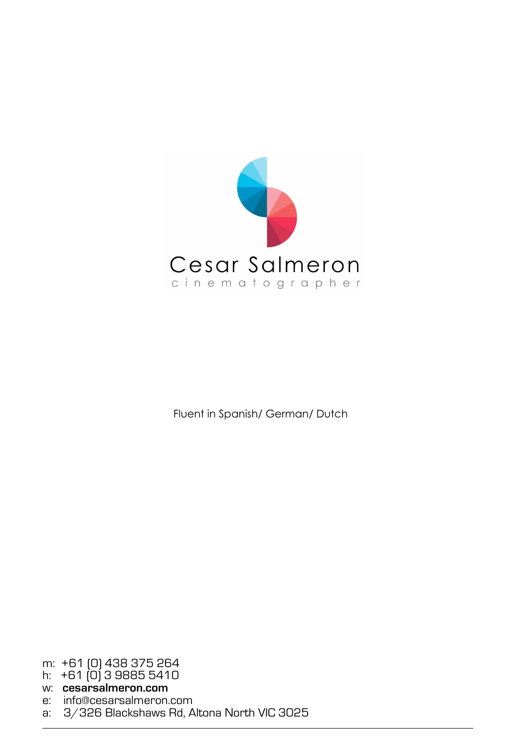

Fluent in Spanish/ German/ Dutch

m: +61 (0) 438 375 264

h: +61 (0) 3 9885 5410

w: **cesarsalmeron.com**

e: info@cesarsalmeron.com

a: 3/326 Blackshaws Rd, Altona North VIC 3025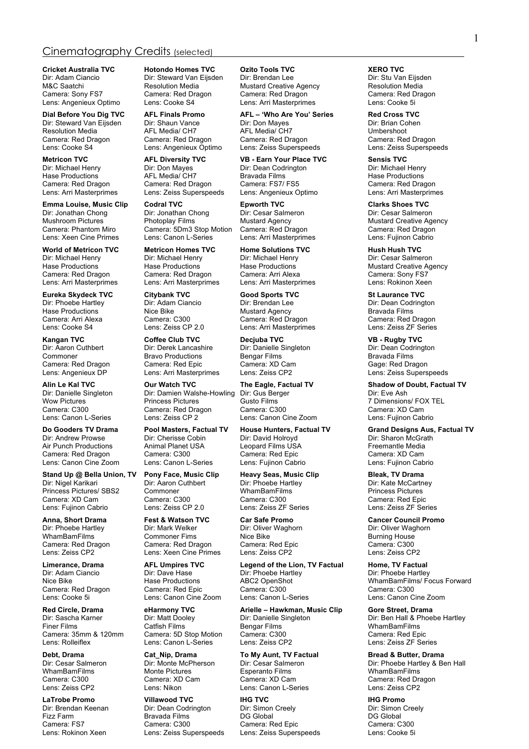# Cinematography Credits (selected)

**Cricket Australia TVC Hotondo Homes TVC Ozito Tools TVC XERO TVC Dir: Steward Van Eijsden** Dir: Brendan Lee Dir: Stu Van Eijsden Lens: Angenieux Optimo

Resolution Media

**Emma Louise, Music Clip Codral TVC Epworth TVC Example 2 Clarks Shoes TVC Direct Clarks Shoes TVC Direct Clarks Shoes TVC Direct Clarks Shoes TVC Direct Clarks Shoes TVC Direct Clarks Shoes TVC Direct Cl** Dir: Jonathan Chong Dir: Jonathan Chong Dir: Cesar Salme<br>
Mushroom Pictures Photoplay Films Mustard Agency Mushroom Pictures **Agency** Photoplay Films Mustard Agency Mustard Creative Agency<br>Camera: Phantom Miro Camera: 5Dm3 Stop Motion Camera: Red Dragon Camera: Red Dragon Lens: Xeen Cine Primes

Dir: Michael Henry **Dir: Dir: Michael Henry Ciric Michael Henry** Dir: Dir: Cesar Salmeron<br>1999 Hase Productions Hase Productions Hase Productions Nustard Creative Ag Camera: Red Dragon Camera: Red Dragon Camera: Arri Alexa Camera: Camera: Sony FS7<br>Camera: Camera: Comera: Arri Masterprimes Lens: Arri Masterprimes Clens: Rokinon Xeen

Lens: Canon Cine Zoom

**Stand Up @ Bella Union, TV Pony Face, Music Clip Heavy Seas, Music Clip Bleak, TV Drama** Princess Pictures/ SBS2 Commoner WhamBamFilm<br>Camera: XD Cam Camera: C300 Camera: C300 Lens: Fujinon Cabrio Lens: Zeiss CP 2.0 Lens: Zeiss ZF Series Lens: Zeiss ZF Series

Dir: Steward Van Eijsden M&C Saatchi **Resolution Media** Mustard Creative Agency Resolution Media Camera: Redorse Camera: Red Drain Camera: Redorse Camera: Redorse Camera: Redorse Camera: Redorse Camera: Redorse Camera: Redorse Camera: Redorse Came Camera: Red Dragon Camera: Red Dragon Camera: Red Dragon Lens: Cooke Si<br>
Lens: Cooke S4 Lens: Arri Masterprimes Lens: Cooke 5i

Lens: Zeiss Superspeeds

Camera: 5Dm3 Stop Motion Camera: Red Dragon Camera: Red Dragon Camera: Red Dragon Camera: Red Dragon Cabrio

**World of Metricon TVC Metricon Homes TVC Home Solutions TVC Hush Hush TVC**

**Kangan TVC Coffee Club TVC Decjuba TVC VB - Rugby TVC** Commoner Bravo Productions Bengar Films Bravada Films Camera: Red Dragon Camera: Red Epic Camera: XD Carnera: XD Camera: Red Epic Camera: XD Carnera: XD Carnera: Red Epic

Dir: Damien Walshe-Howling<br>Princess Pictures Wow Pictures The Princess Pictures Custo Films Custo Films Tell The Thensions/ FOX TEL<br>Camera: C300 Camera: Red Dragon Camera: C300 Camera: XD Cam Camera: C300 Camera: Red Dragon Camera: C300 Camera: C100 Camera: XD Camera: XD Camera: Camera: Camera: Capmera: Capmera: Capmera: Capmera: Capmera: Capmera: Capmera: Capmera: Capmera: Capmera: Capmera: Capmera: Capmera: C

Dir: Cherisse Cobin Dir: David Holroyd Air Punch Productions Animal Planet USA Leopard Films USA Freemantle Media<br>Camera: Red Dragon Camera: C300 Camera: Red Epic Camera: XD Cam

**Pony Face, Music Clip** Heavy Seas, Music Clip Bleak, TV Drama<br>Dir: Aaron Cuthbert Dir: Phoebe Hartley Dir: Kate McCartney<br>Commoner WhamBamFilms Dir: Princess Pictures

WhamBamFilms Commoner Fims Nice Bike Burning House Camera: Red Dragon Camera: Red Dragon Camera: Red Epic Camera: C300<br>Camera: Camera: Camera: Camera: Camera: Camera: Camera: Camera: Camera: C300<br>Lens: Zeiss CP2 Lens: Xeen Cine Primes

Lens: Canon Cine Zoom

Lens: Canon L-Series

WhamBamFilms Monte Pictures Esperanto Films<br>Camera: C300 Camera: XD Cam Camera: XD Cam

**Dial Before You Dig TVC AFL Finals Promo AFL – 'Who Are You' Series Red Cross TVC** Dir: Steward Van Eijsden Dir: Shaun Vance Dir: Don Mayes Dir: Brian Cohen Dir: Brian Cohen Dir: Brian Cohen Dir<br>Resolution Media AFL Media/ CH7 AFL Media/ CH7 Dir: Don Dir: Brian Cohen AFL Media Camera: Red Dragon Camera: Red Dragon Camera: Red Dragon Camera: Red Dragon Lens: Cooke S4 Lens: Angenieux Optimo Lens: Zeiss Superspeeds Lens: Zeiss Superspeeds

**Metricon TVC AFL Diversity TVC VB - Earn Your Place TVC Sensis TVC** Dir: Dean Codrington Hase Productions **AFL Media/ CH7** Bravada Films **AFL Media/ CH7** Bravada Films **AFL Hase Productions** Camera: Red Drain Camera: Red Drain Camera: Red Drain Camera: Red Drain Camera: Red Drain Camera: Red Drain Camera: Red Camera: Red Dragon Camera: Red Dragon Camera: FS7/ FS5 Camera: Red Dragon Camera: Red Dragon Camera: Camera: C<br>Camera: Arri Masterprimes Lens: Zeiss Superspeeds Lens: Angenieux Optimo Camera: Arri Masterprimes

Lens: Arri Masterprimes

**Eureka Skydeck TVC Citybank TVC Good Sports TVC St Laurance TVC** Dir: Phoebe Hartley Dir: Adam Ciancio Dir: Brendan Lee Dir: Dean Codrington Dir: Dean Codrington Dir: Dean Codrington Dir: Dean Codrington Dir: Dean Codrington Dir: Dean Codrington Dir: Adam Ciancio Dir: Brendan Cime Rise Lens: Arri Masterprimes

Dir: Danielle Singleton

Lens: Canon Cine Zoom

Camera: Red Dragon Camera: C300 Camera: Red Epic Camera: Camera: XD Camera: C300 Camera: Camera: Camera: Camera: C300 Camera: Capic Camera: Capic Camera: Capic Camera: Capic Capic Capic Capic Capic Capic Capic Capic Capic

Camera: C300 Camera: C300 Camera: C300 Camera: Red Epic<br>
Lens: Zeiss CP 2.0 Lens: Zeiss ZF Series Camera: Ceiss ZF Series

Dir: Oliver Waghorn

**Limerance, Drama AFL Umpires TVC Legend of the Lion, TV Factual Home, TV Factual** Dir: Adam Ciancio Dir: Dave Hase Dir: Phoebe Hartley Dir: Phoebe Hartley Camera: Red Dragon Camera: Red Epic Camera: C300 Camera: C300 Camera: C300 Camera: C300 Camera: C300 Camera: C<br>Camera: Cooke 5i Cans: Canon Cine Zoom Lens: Canon L-Series Canon Camera: Canon Cine Zoom

**Red Circle, Drama eHarmony TVC Arielle – Hawkman, Music Clip Gore Street, Drama** Dir: Sascha Karner Dir: Matt Dooley Dir: Danielle Singleton Dir: Ben Hall & Phoebe Hartley<br>Dir: Danielle Singleton Dir: Danielle Singleton Dir: Ben Hall & Phoebe Hartley<br>Finer Films Bengar Films WhamBamFilms Catfish Films **Catfish Films** Bengar Films **Cattion Cattion Cattion** WhamBamFilms Camera: Red Epic Camera: 35mm & 120mm Camera: 5D Stop Motion Camera: C300 Camera: Red Epic

**Debt, Drama Cat\_Nip, Drama To My Aunt, TV Factual Bread & Butter, Drama**<br>
Dir: Cesar Salmeron Dir: Monte McPherson Dir: Cesar Salmeron Dir: Phoebe Hartlev & Be Camera: C300 Camera: XD Cam Camera: XD Camera: XD Camera: XD Cam Camera: Camera: Red Dragon<br>
Lens: Zeiss CP2 Lens: Nikon Lens: Canon L-Series Lens: Zeiss CP2 Lens: Canon L-Series Lens: Zeiss CP2

**LaTrobe Promo Villawood TVC IHG TVC IHG Promo** Dir: Brendan Keenan Dir: Dean Codrington Dir: Simon Creely Dir: Simon Creely Dir: Simon Creely Dir: Simon Creely Discomment Dir: Simon Creely Discomment Dir: Simon Creely Discomment Discomment Discomment Discomment Discomm Fizz Farm Bravada Films DG Global DG Global Camera: Red Epic Lens: Rokinon Xeen Lens: Zeiss Superspeeds Lens: Zeiss Superspeeds Lens: Cooke 5i

Hase Productions **Hase Productions** Hase Productions Mustard Creative Agency

Hase Productions Nice Bike Mustard Agency Bravada Films Camera: Arri Alexa Camera: C300 Camera: Red Dragon Camera: Red Dragon

Lens: Zeiss Superspeeds

**Alin Le Kal TVC Our Watch TVC The Eagle, Factual TV Shadow of Doubt, Factual TV**

**Do Gooders TV Drama Pool Masters, Factual TV House Hunters, Factual TV Grand Designs Aus, Factual TV**

**Anna, Short Drama Fest & Watson TVC Car Safe Promo Cancer Council Promo**

Nice Bike Nice Bike Abductions ABC2 OpenShot Mice Bike WhamBamFilms/ Focus Forward<br>Camera: Red Dragon Camera: Red Epic Camera: C300 Camera: C300

Dir: Cesar Salmeron Dir: Monte McPherson Dir: Cesar Salmeron Dir: Dir: Phoebe Hartley & Ben Hall<br>
WhamBamFilms Monte Pictures Esperanto Films Dir: WhamBamFilms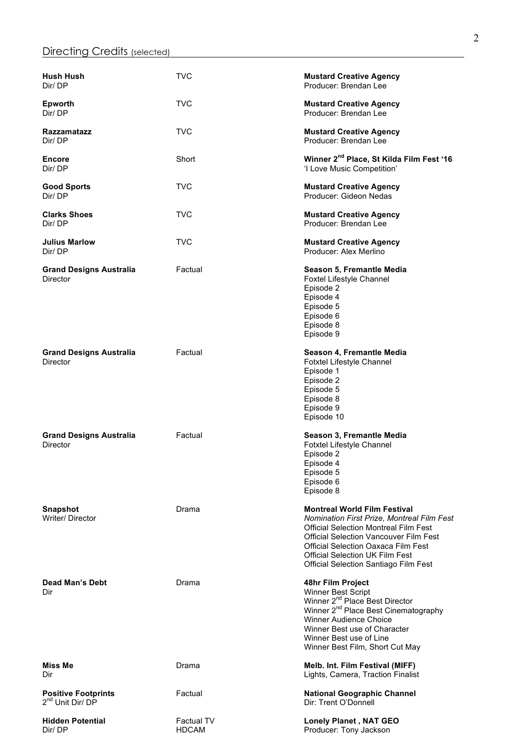| <b>Hush Hush</b><br>Dir/DP                                 | <b>TVC</b>                        | <b>Mustard Creative Agency</b><br>Producer: Brendan Lee                                                                                                                                                                                                                                                             |
|------------------------------------------------------------|-----------------------------------|---------------------------------------------------------------------------------------------------------------------------------------------------------------------------------------------------------------------------------------------------------------------------------------------------------------------|
| <b>Epworth</b><br>Dir/DP                                   | TVC                               | <b>Mustard Creative Agency</b><br>Producer: Brendan Lee                                                                                                                                                                                                                                                             |
| Razzamatazz<br>Dir/DP                                      | TVC                               | <b>Mustard Creative Agency</b><br>Producer: Brendan Lee                                                                                                                                                                                                                                                             |
| <b>Encore</b><br>Dir/DP                                    | Short                             | Winner 2 <sup>nd</sup> Place, St Kilda Film Fest '16<br>'I Love Music Competition'                                                                                                                                                                                                                                  |
| <b>Good Sports</b><br>Dir/DP                               | <b>TVC</b>                        | <b>Mustard Creative Agency</b><br>Producer: Gideon Nedas                                                                                                                                                                                                                                                            |
| <b>Clarks Shoes</b><br>Dir/DP                              | TVC                               | <b>Mustard Creative Agency</b><br>Producer: Brendan Lee                                                                                                                                                                                                                                                             |
| Julius Marlow<br>Dir/DP                                    | TVC                               | <b>Mustard Creative Agency</b><br>Producer: Alex Merlino                                                                                                                                                                                                                                                            |
| <b>Grand Designs Australia</b><br>Director                 | Factual                           | Season 5, Fremantle Media<br>Foxtel Lifestyle Channel<br>Episode 2<br>Episode 4<br>Episode 5<br>Episode 6<br>Episode 8<br>Episode 9                                                                                                                                                                                 |
| <b>Grand Designs Australia</b><br>Director                 | Factual                           | Season 4, Fremantle Media<br>Fotxtel Lifestyle Channel<br>Episode 1<br>Episode 2<br>Episode 5<br>Episode 8<br>Episode 9<br>Episode 10                                                                                                                                                                               |
| <b>Grand Designs Australia</b><br>Director                 | Factual                           | Season 3, Fremantle Media<br>Fotxtel Lifestyle Channel<br>Episode 2<br>Episode 4<br>Episode 5<br>Episode 6<br>Episode 8                                                                                                                                                                                             |
| <b>Snapshot</b><br>Writer/Director                         | Drama                             | <b>Montreal World Film Festival</b><br>Nomination First Prize, Montreal Film Fest<br><b>Official Selection Montreal Film Fest</b><br><b>Official Selection Vancouver Film Fest</b><br><b>Official Selection Oaxaca Film Fest</b><br><b>Official Selection UK Film Fest</b><br>Official Selection Santiago Film Fest |
| <b>Dead Man's Debt</b><br>Dir                              | Drama                             | 48hr Film Project<br>Winner Best Script<br>Winner 2 <sup>nd</sup> Place Best Director<br>Winner 2 <sup>nd</sup> Place Best Cinematography<br>Winner Audience Choice<br>Winner Best use of Character<br>Winner Best use of Line<br>Winner Best Film, Short Cut May                                                   |
| Miss Me<br>Dir                                             | Drama                             | Melb. Int. Film Festival (MIFF)<br>Lights, Camera, Traction Finalist                                                                                                                                                                                                                                                |
| <b>Positive Footprints</b><br>2 <sup>nd</sup> Unit Dir/ DP | Factual                           | <b>National Geographic Channel</b><br>Dir: Trent O'Donnell                                                                                                                                                                                                                                                          |
| Hidden Potential<br>Dir/DP                                 | <b>Factual TV</b><br><b>HDCAM</b> | <b>Lonely Planet, NAT GEO</b><br>Producer: Tony Jackson                                                                                                                                                                                                                                                             |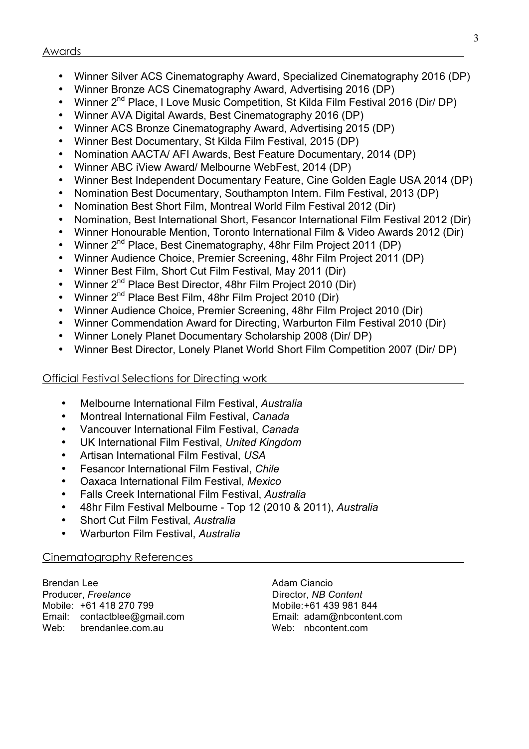- Winner Silver ACS Cinematography Award, Specialized Cinematography 2016 (DP)
- Winner Bronze ACS Cinematography Award, Advertising 2016 (DP)
- Winner 2<sup>nd</sup> Place, I Love Music Competition, St Kilda Film Festival 2016 (Dir/ DP)
- Winner AVA Digital Awards, Best Cinematography 2016 (DP)
- Winner ACS Bronze Cinematography Award, Advertising 2015 (DP)
- Winner Best Documentary, St Kilda Film Festival, 2015 (DP)
- Nomination AACTA/ AFI Awards, Best Feature Documentary, 2014 (DP)
- Winner ABC iView Award/ Melbourne WebFest, 2014 (DP)
- Winner Best Independent Documentary Feature, Cine Golden Eagle USA 2014 (DP)
- Nomination Best Documentary, Southampton Intern. Film Festival, 2013 (DP)
- Nomination Best Short Film, Montreal World Film Festival 2012 (Dir)
- Nomination, Best International Short, Fesancor International Film Festival 2012 (Dir)
- Winner Honourable Mention, Toronto International Film & Video Awards 2012 (Dir)
- Winner 2<sup>nd</sup> Place, Best Cinematography, 48hr Film Project 2011 (DP)
- Winner Audience Choice, Premier Screening, 48hr Film Project 2011 (DP)
- Winner Best Film, Short Cut Film Festival, May 2011 (Dir)
- Winner 2<sup>nd</sup> Place Best Director, 48hr Film Project 2010 (Dir)
- Winner 2<sup>nd</sup> Place Best Film, 48hr Film Project 2010 (Dir)
- Winner Audience Choice, Premier Screening, 48hr Film Project 2010 (Dir)
- Winner Commendation Award for Directing, Warburton Film Festival 2010 (Dir)
- Winner Lonely Planet Documentary Scholarship 2008 (Dir/ DP)
- Winner Best Director, Lonely Planet World Short Film Competition 2007 (Dir/ DP)

Official Festival Selections for Directing work

- Melbourne International Film Festival, *Australia*
- Montreal International Film Festival, *Canada*
- Vancouver International Film Festival, *Canada*
- UK International Film Festival, *United Kingdom*
- Artisan International Film Festival, *USA*
- Fesancor International Film Festival, *Chile*
- Oaxaca International Film Festival, *Mexico*
- Falls Creek International Film Festival, *Australia*
- 48hr Film Festival Melbourne Top 12 (2010 & 2011), *Australia*
- Short Cut Film Festival*, Australia*
- Warburton Film Festival, *Australia*

# Cinematography References

Brendan Lee **Adam Ciancio** Adam Ciancio Producer, *Freelance* **Director**, *NB Content* Mobile: +61 418 270 799 Mobile:+61 439 981 844 Email: contactblee@gmail.com Email: adam@nbcontent.com Web: brendanlee.com.au Web: nbcontent.com